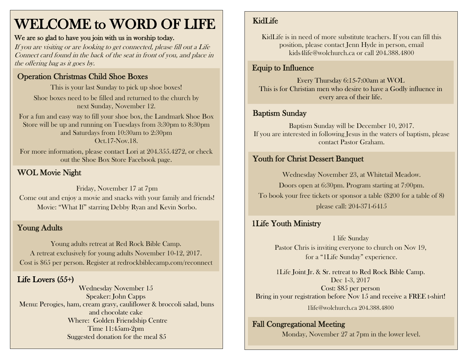# WELCOME to WORD OF LIFE

#### We are so glad to have you join with us in worship today.

If you are visiting or are looking to get connected, please fill out a Life Connect card found in the back of the seat in front of you, and place in the offering bag as it goes by.

### Operation Christmas Child Shoe Boxes

This is your last Sunday to pick up shoe boxes! Shoe boxes need to be filled and returned to the church by next Sunday, November 12.

For a fun and easy way to fill your shoe box, the Landmark Shoe Box Store will be up and running on Tuesdays from 3:30pm to 8:30pm and Saturdays from 10:30am to 2:30pm Oct.17-Nov.18.

For more information, please contact Lori at 204.355.4272, or check out the Shoe Box Store Facebook page.

## WOL Movie Night

Friday, November 17 at 7pm Come out and enjoy a movie and snacks with your family and friends! Movie: "What If" starring Debby Ryan and Kevin Sorbo.

## Young Adults

Young adults retreat at Red Rock Bible Camp. A retreat exclusively for young adults November 10-12, 2017. Cost is \$65 per person. Register at redrockbiblecamp.com/reconnect

## Life Lovers (55+)

Wednesday November 15 Speaker: John Capps Menu: Perogies, ham, cream gravy, cauliflower & broccoli salad, buns and chocolate cake Where: Golden Friendship Centre Time 11:45am-2pm Suggested donation for the meal \$5

## KidLife

KidLife is in need of more substitute teachers. If you can fill this position, please contact Jenn Hyde in person, email kids4life@wolchurch.ca or call 204.388.4800

## Equip to Influence

Every Thursday 6:15-7:00am at WOL This is for Christian men who desire to have a Godly influence in every area of their life.

#### Baptism Sunday

Baptism Sunday will be December 10, 2017. If you are interested in following Jesus in the waters of baptism, please contact Pastor Graham.

## Youth for Christ Dessert Banquet

Wednesday November 23, at Whitetail Meadow. Doors open at 6:30pm. Program starting at 7:00pm. To book your free tickets or sponsor a table (\$200 for a table of 8) please call: 204-371-6415

## 1Life Youth Ministry

1 life Sunday Pastor Chris is inviting everyone to church on Nov 19, for a "1Life Sunday" experience.

1Life Joint Jr. & Sr. retreat to Red Rock Bible Camp. Dec 1-3, 2017 Cost: \$85 per person Bring in your registration before Nov 15 and receive a FREE t-shirt! 1life@wolchurch.ca 204.388.4800

#### Fall Congregational Meeting

Monday, November 27 at 7pm in the lower level.